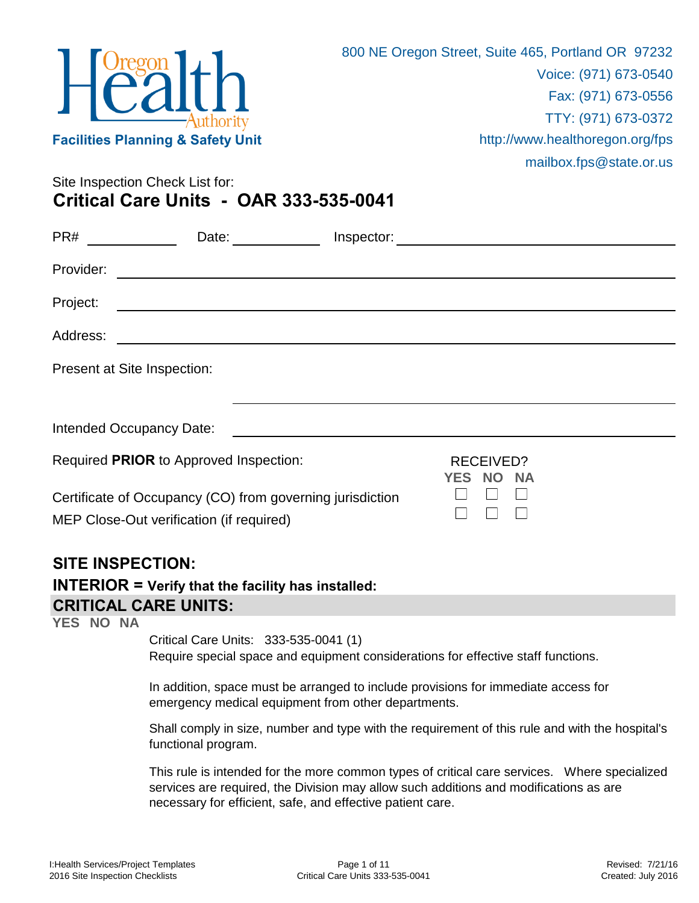

Site Inspection Check List for: **Critical Care Units - OAR 333-535-0041**

| PR#       | Date:                                                                                                 | Inspector:                                 |
|-----------|-------------------------------------------------------------------------------------------------------|--------------------------------------------|
| Provider: |                                                                                                       |                                            |
| Project:  |                                                                                                       |                                            |
| Address:  |                                                                                                       |                                            |
|           | Present at Site Inspection:                                                                           |                                            |
|           |                                                                                                       |                                            |
|           | Intended Occupancy Date:                                                                              |                                            |
|           | Required PRIOR to Approved Inspection:                                                                | RECEIVED?<br>YES<br><b>NO</b><br><b>NA</b> |
|           | Certificate of Occupancy (CO) from governing jurisdiction<br>MEP Close-Out verification (if required) |                                            |

## **SITE INSPECTION:**

## **CRITICAL CARE UNITS: INTERIOR = Verify that the facility has installed:**

**YES NO NA**

Critical Care Units: 333-535-0041 (1)

Require special space and equipment considerations for effective staff functions.

In addition, space must be arranged to include provisions for immediate access for emergency medical equipment from other departments.

Shall comply in size, number and type with the requirement of this rule and with the hospital's functional program.

This rule is intended for the more common types of critical care services. Where specialized services are required, the Division may allow such additions and modifications as are necessary for efficient, safe, and effective patient care.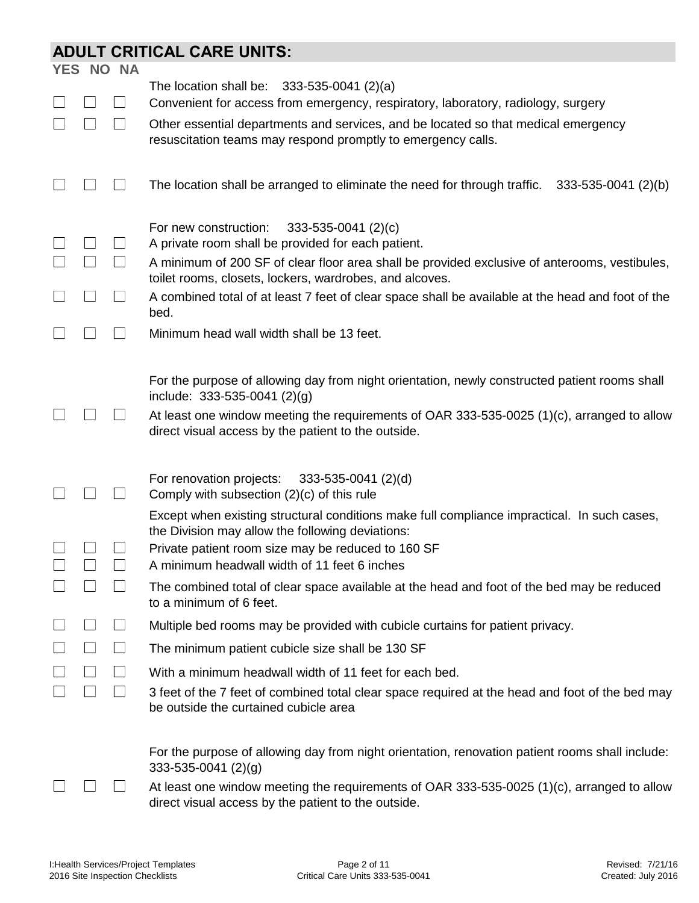## **ADULT CRITICAL CARE UNITS:**

|  | <b>YES NO NA</b> |                                                                                                                                                                                                                                                                                      |
|--|------------------|--------------------------------------------------------------------------------------------------------------------------------------------------------------------------------------------------------------------------------------------------------------------------------------|
|  |                  | The location shall be: $333-535-0041$ (2)(a)                                                                                                                                                                                                                                         |
|  |                  | Convenient for access from emergency, respiratory, laboratory, radiology, surgery                                                                                                                                                                                                    |
|  |                  | Other essential departments and services, and be located so that medical emergency<br>resuscitation teams may respond promptly to emergency calls.                                                                                                                                   |
|  |                  | The location shall be arranged to eliminate the need for through traffic.<br>333-535-0041 (2)(b)                                                                                                                                                                                     |
|  |                  | For new construction:<br>$333 - 535 - 0041$ (2)(c)<br>A private room shall be provided for each patient.<br>A minimum of 200 SF of clear floor area shall be provided exclusive of anterooms, vestibules,                                                                            |
|  |                  | toilet rooms, closets, lockers, wardrobes, and alcoves.                                                                                                                                                                                                                              |
|  |                  | A combined total of at least 7 feet of clear space shall be available at the head and foot of the<br>bed.                                                                                                                                                                            |
|  |                  | Minimum head wall width shall be 13 feet.                                                                                                                                                                                                                                            |
|  |                  | For the purpose of allowing day from night orientation, newly constructed patient rooms shall<br>include: $333-535-0041$ (2)(g)<br>At least one window meeting the requirements of OAR 333-535-0025 (1)(c), arranged to allow<br>direct visual access by the patient to the outside. |
|  |                  | For renovation projects:<br>$333 - 535 - 0041$ (2)(d)<br>Comply with subsection $(2)(c)$ of this rule                                                                                                                                                                                |
|  |                  | Except when existing structural conditions make full compliance impractical. In such cases,<br>the Division may allow the following deviations:<br>Private patient room size may be reduced to 160 SF<br>A minimum headwall width of 11 feet 6 inches                                |
|  |                  | The combined total of clear space available at the head and foot of the bed may be reduced<br>to a minimum of 6 feet.                                                                                                                                                                |
|  |                  | Multiple bed rooms may be provided with cubicle curtains for patient privacy.                                                                                                                                                                                                        |
|  |                  | The minimum patient cubicle size shall be 130 SF                                                                                                                                                                                                                                     |
|  |                  | With a minimum headwall width of 11 feet for each bed.                                                                                                                                                                                                                               |
|  |                  | 3 feet of the 7 feet of combined total clear space required at the head and foot of the bed may<br>be outside the curtained cubicle area                                                                                                                                             |
|  |                  | For the purpose of allowing day from night orientation, renovation patient rooms shall include:<br>333-535-0041 (2)(g)<br>At least one window meeting the requirements of OAR 333-535-0025 (1)(c), arranged to allow<br>direct visual access by the patient to the outside.          |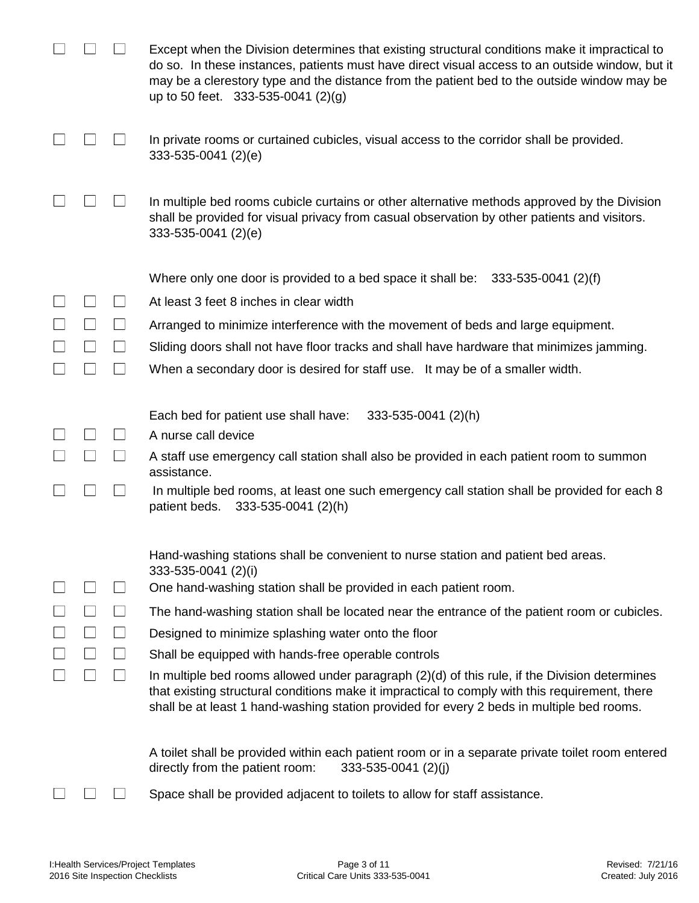|  | Except when the Division determines that existing structural conditions make it impractical to<br>do so. In these instances, patients must have direct visual access to an outside window, but it<br>may be a clerestory type and the distance from the patient bed to the outside window may be<br>up to 50 feet. 333-535-0041 (2)(g) |
|--|----------------------------------------------------------------------------------------------------------------------------------------------------------------------------------------------------------------------------------------------------------------------------------------------------------------------------------------|
|  | In private rooms or curtained cubicles, visual access to the corridor shall be provided.<br>333-535-0041 (2)(e)                                                                                                                                                                                                                        |
|  | In multiple bed rooms cubicle curtains or other alternative methods approved by the Division<br>shall be provided for visual privacy from casual observation by other patients and visitors.<br>333-535-0041 (2)(e)                                                                                                                    |
|  | Where only one door is provided to a bed space it shall be: $333-535-0041$ (2)(f)                                                                                                                                                                                                                                                      |
|  | At least 3 feet 8 inches in clear width                                                                                                                                                                                                                                                                                                |
|  | Arranged to minimize interference with the movement of beds and large equipment.                                                                                                                                                                                                                                                       |
|  | Sliding doors shall not have floor tracks and shall have hardware that minimizes jamming.                                                                                                                                                                                                                                              |
|  | When a secondary door is desired for staff use. It may be of a smaller width.                                                                                                                                                                                                                                                          |
|  | 333-535-0041 (2)(h)<br>Each bed for patient use shall have:                                                                                                                                                                                                                                                                            |
|  | A nurse call device                                                                                                                                                                                                                                                                                                                    |
|  | A staff use emergency call station shall also be provided in each patient room to summon<br>assistance.                                                                                                                                                                                                                                |
|  | In multiple bed rooms, at least one such emergency call station shall be provided for each 8<br>patient beds.<br>333-535-0041 (2)(h)                                                                                                                                                                                                   |
|  | Hand-washing stations shall be convenient to nurse station and patient bed areas.<br>333-535-0041 (2)(i)                                                                                                                                                                                                                               |
|  | One hand-washing station shall be provided in each patient room.                                                                                                                                                                                                                                                                       |
|  | The hand-washing station shall be located near the entrance of the patient room or cubicles.                                                                                                                                                                                                                                           |
|  | Designed to minimize splashing water onto the floor                                                                                                                                                                                                                                                                                    |
|  | Shall be equipped with hands-free operable controls                                                                                                                                                                                                                                                                                    |
|  | In multiple bed rooms allowed under paragraph (2)(d) of this rule, if the Division determines<br>that existing structural conditions make it impractical to comply with this requirement, there<br>shall be at least 1 hand-washing station provided for every 2 beds in multiple bed rooms.                                           |
|  | A toilet shall be provided within each patient room or in a separate private toilet room entered<br>directly from the patient room:<br>$333 - 535 - 0041$ (2)(j)                                                                                                                                                                       |
|  | Space shall be provided adjacent to toilets to allow for staff assistance.                                                                                                                                                                                                                                                             |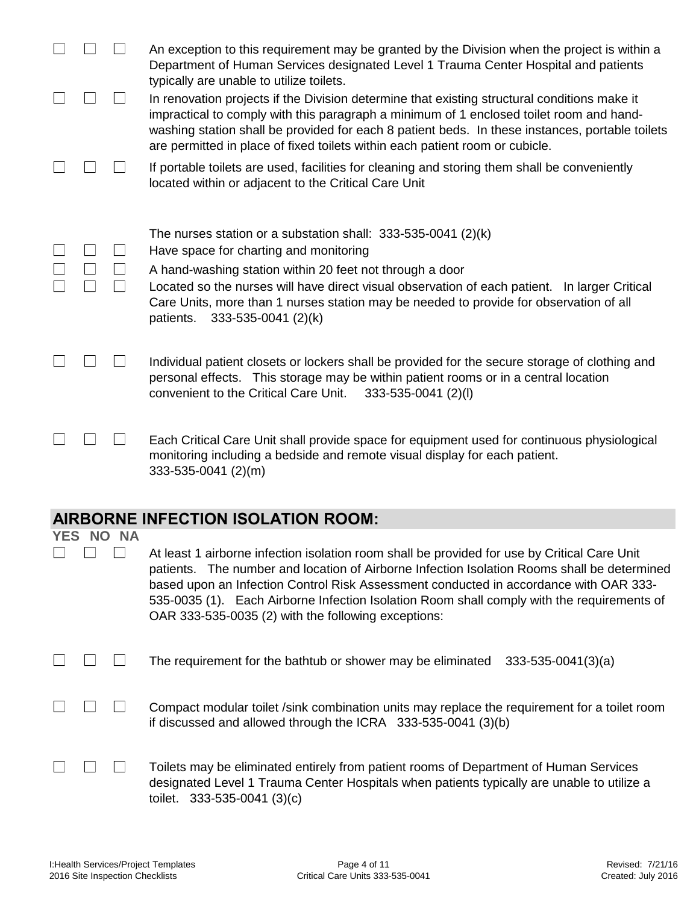|  |                  | An exception to this requirement may be granted by the Division when the project is within a<br>Department of Human Services designated Level 1 Trauma Center Hospital and patients                                                                                                                                                                                                                                                       |
|--|------------------|-------------------------------------------------------------------------------------------------------------------------------------------------------------------------------------------------------------------------------------------------------------------------------------------------------------------------------------------------------------------------------------------------------------------------------------------|
|  |                  | typically are unable to utilize toilets.<br>In renovation projects if the Division determine that existing structural conditions make it<br>impractical to comply with this paragraph a minimum of 1 enclosed toilet room and hand-<br>washing station shall be provided for each 8 patient beds. In these instances, portable toilets<br>are permitted in place of fixed toilets within each patient room or cubicle.                    |
|  |                  | If portable toilets are used, facilities for cleaning and storing them shall be conveniently<br>located within or adjacent to the Critical Care Unit                                                                                                                                                                                                                                                                                      |
|  |                  | The nurses station or a substation shall: $333-535-0041$ (2)(k)<br>Have space for charting and monitoring<br>A hand-washing station within 20 feet not through a door<br>Located so the nurses will have direct visual observation of each patient. In larger Critical<br>Care Units, more than 1 nurses station may be needed to provide for observation of all<br>patients.<br>333-535-0041 (2)(k)                                      |
|  |                  | Individual patient closets or lockers shall be provided for the secure storage of clothing and<br>personal effects. This storage may be within patient rooms or in a central location<br>convenient to the Critical Care Unit.<br>$333 - 535 - 0041$ (2)(l)                                                                                                                                                                               |
|  |                  | Each Critical Care Unit shall provide space for equipment used for continuous physiological<br>monitoring including a bedside and remote visual display for each patient.<br>333-535-0041 (2)(m)                                                                                                                                                                                                                                          |
|  |                  | <b>AIRBORNE INFECTION ISOLATION ROOM:</b>                                                                                                                                                                                                                                                                                                                                                                                                 |
|  | <b>YES NO NA</b> |                                                                                                                                                                                                                                                                                                                                                                                                                                           |
|  |                  | At least 1 airborne infection isolation room shall be provided for use by Critical Care Unit<br>patients. The number and location of Airborne Infection Isolation Rooms shall be determined<br>based upon an Infection Control Risk Assessment conducted in accordance with OAR 333-<br>535-0035 (1). Each Airborne Infection Isolation Room shall comply with the requirements of<br>OAR 333-535-0035 (2) with the following exceptions: |
|  |                  | The requirement for the bathtub or shower may be eliminated<br>$333 - 535 - 0041(3)(a)$                                                                                                                                                                                                                                                                                                                                                   |
|  |                  | Compact modular toilet /sink combination units may replace the requirement for a toilet room<br>if discussed and allowed through the ICRA 333-535-0041 (3)(b)                                                                                                                                                                                                                                                                             |

|  | $\Box$ $\Box$ $\Box$ | Toilets may be eliminated entirely from patient rooms of Department of Human Services      |
|--|----------------------|--------------------------------------------------------------------------------------------|
|  |                      | designated Level 1 Trauma Center Hospitals when patients typically are unable to utilize a |
|  |                      | toilet. $333-535-0041(3)(c)$                                                               |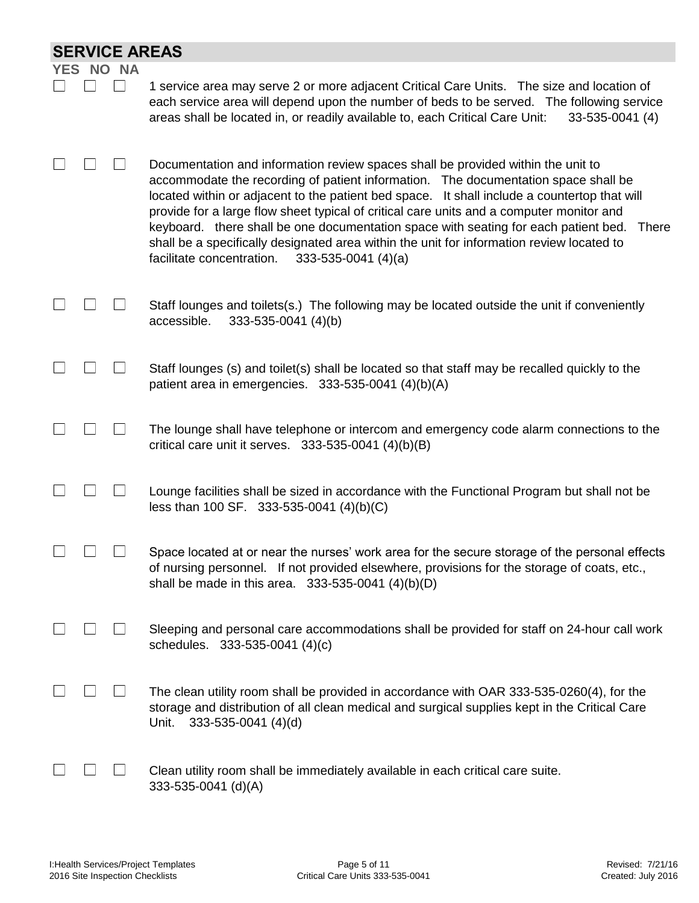| <b>SERVICE AREAS</b>    |  |                                                                                                                                                                                                                                                                                                                                                                                                                                                                                                                                                                                                                              |  |  |  |  |  |
|-------------------------|--|------------------------------------------------------------------------------------------------------------------------------------------------------------------------------------------------------------------------------------------------------------------------------------------------------------------------------------------------------------------------------------------------------------------------------------------------------------------------------------------------------------------------------------------------------------------------------------------------------------------------------|--|--|--|--|--|
| <b>NA</b><br>YES<br>NO. |  |                                                                                                                                                                                                                                                                                                                                                                                                                                                                                                                                                                                                                              |  |  |  |  |  |
|                         |  | 1 service area may serve 2 or more adjacent Critical Care Units. The size and location of<br>each service area will depend upon the number of beds to be served. The following service<br>areas shall be located in, or readily available to, each Critical Care Unit:<br>33-535-0041 (4)                                                                                                                                                                                                                                                                                                                                    |  |  |  |  |  |
|                         |  | Documentation and information review spaces shall be provided within the unit to<br>accommodate the recording of patient information. The documentation space shall be<br>located within or adjacent to the patient bed space. It shall include a countertop that will<br>provide for a large flow sheet typical of critical care units and a computer monitor and<br>keyboard. there shall be one documentation space with seating for each patient bed.<br><b>There</b><br>shall be a specifically designated area within the unit for information review located to<br>$333-535-0041$ (4)(a)<br>facilitate concentration. |  |  |  |  |  |
|                         |  | Staff lounges and toilets(s.) The following may be located outside the unit if conveniently<br>accessible.<br>333-535-0041 (4)(b)                                                                                                                                                                                                                                                                                                                                                                                                                                                                                            |  |  |  |  |  |
|                         |  | Staff lounges (s) and toilet(s) shall be located so that staff may be recalled quickly to the<br>patient area in emergencies. 333-535-0041 (4)(b)(A)                                                                                                                                                                                                                                                                                                                                                                                                                                                                         |  |  |  |  |  |
|                         |  | The lounge shall have telephone or intercom and emergency code alarm connections to the<br>critical care unit it serves. $333-535-0041$ (4)(b)(B)                                                                                                                                                                                                                                                                                                                                                                                                                                                                            |  |  |  |  |  |
|                         |  | Lounge facilities shall be sized in accordance with the Functional Program but shall not be<br>less than 100 SF. 333-535-0041 (4)(b)(C)                                                                                                                                                                                                                                                                                                                                                                                                                                                                                      |  |  |  |  |  |
|                         |  | Space located at or near the nurses' work area for the secure storage of the personal effects<br>of nursing personnel. If not provided elsewhere, provisions for the storage of coats, etc.,<br>shall be made in this area. $333-535-0041$ (4)(b)(D)                                                                                                                                                                                                                                                                                                                                                                         |  |  |  |  |  |
|                         |  | Sleeping and personal care accommodations shall be provided for staff on 24-hour call work<br>schedules. 333-535-0041 (4)(c)                                                                                                                                                                                                                                                                                                                                                                                                                                                                                                 |  |  |  |  |  |
|                         |  | The clean utility room shall be provided in accordance with OAR 333-535-0260(4), for the<br>storage and distribution of all clean medical and surgical supplies kept in the Critical Care<br>Unit.<br>$333 - 535 - 0041$ (4)(d)                                                                                                                                                                                                                                                                                                                                                                                              |  |  |  |  |  |
|                         |  | Clean utility room shall be immediately available in each critical care suite.<br>333-535-0041 (d)(A)                                                                                                                                                                                                                                                                                                                                                                                                                                                                                                                        |  |  |  |  |  |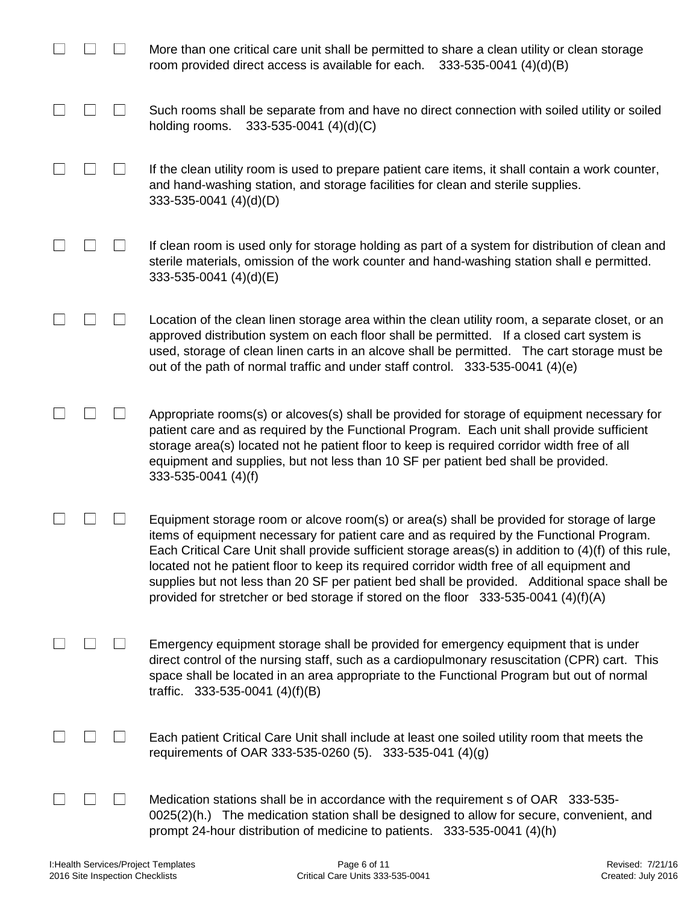|  | More than one critical care unit shall be permitted to share a clean utility or clean storage<br>room provided direct access is available for each.<br>$333-535-0041$ (4)(d)(B)                                                                                                                                                                                                                                                                                                                                                                                                         |
|--|-----------------------------------------------------------------------------------------------------------------------------------------------------------------------------------------------------------------------------------------------------------------------------------------------------------------------------------------------------------------------------------------------------------------------------------------------------------------------------------------------------------------------------------------------------------------------------------------|
|  | Such rooms shall be separate from and have no direct connection with soiled utility or soiled<br>holding rooms.<br>$333 - 535 - 0041$ (4)(d)(C)                                                                                                                                                                                                                                                                                                                                                                                                                                         |
|  | If the clean utility room is used to prepare patient care items, it shall contain a work counter,<br>and hand-washing station, and storage facilities for clean and sterile supplies.<br>$333-535-0041$ (4)(d)(D)                                                                                                                                                                                                                                                                                                                                                                       |
|  | If clean room is used only for storage holding as part of a system for distribution of clean and<br>sterile materials, omission of the work counter and hand-washing station shall e permitted.<br>333-535-0041 (4)(d)(E)                                                                                                                                                                                                                                                                                                                                                               |
|  | Location of the clean linen storage area within the clean utility room, a separate closet, or an<br>approved distribution system on each floor shall be permitted. If a closed cart system is<br>used, storage of clean linen carts in an alcove shall be permitted. The cart storage must be<br>out of the path of normal traffic and under staff control. 333-535-0041 (4)(e)                                                                                                                                                                                                         |
|  | Appropriate rooms(s) or alcoves(s) shall be provided for storage of equipment necessary for<br>patient care and as required by the Functional Program. Each unit shall provide sufficient<br>storage area(s) located not he patient floor to keep is required corridor width free of all<br>equipment and supplies, but not less than 10 SF per patient bed shall be provided.<br>333-535-0041 (4)(f)                                                                                                                                                                                   |
|  | Equipment storage room or alcove room(s) or area(s) shall be provided for storage of large<br>items of equipment necessary for patient care and as required by the Functional Program.<br>Each Critical Care Unit shall provide sufficient storage areas(s) in addition to (4)(f) of this rule,<br>located not he patient floor to keep its required corridor width free of all equipment and<br>supplies but not less than 20 SF per patient bed shall be provided. Additional space shall be<br>provided for stretcher or bed storage if stored on the floor $333-535-0041$ (4)(f)(A) |
|  | Emergency equipment storage shall be provided for emergency equipment that is under<br>direct control of the nursing staff, such as a cardiopulmonary resuscitation (CPR) cart. This<br>space shall be located in an area appropriate to the Functional Program but out of normal<br>traffic. $333-535-0041$ (4)(f)(B)                                                                                                                                                                                                                                                                  |
|  | Each patient Critical Care Unit shall include at least one soiled utility room that meets the<br>requirements of OAR 333-535-0260 (5). 333-535-041 (4)(g)                                                                                                                                                                                                                                                                                                                                                                                                                               |
|  | Medication stations shall be in accordance with the requirement s of OAR 333-535-<br>0025(2)(h.) The medication station shall be designed to allow for secure, convenient, and<br>prompt 24-hour distribution of medicine to patients. 333-535-0041 (4)(h)                                                                                                                                                                                                                                                                                                                              |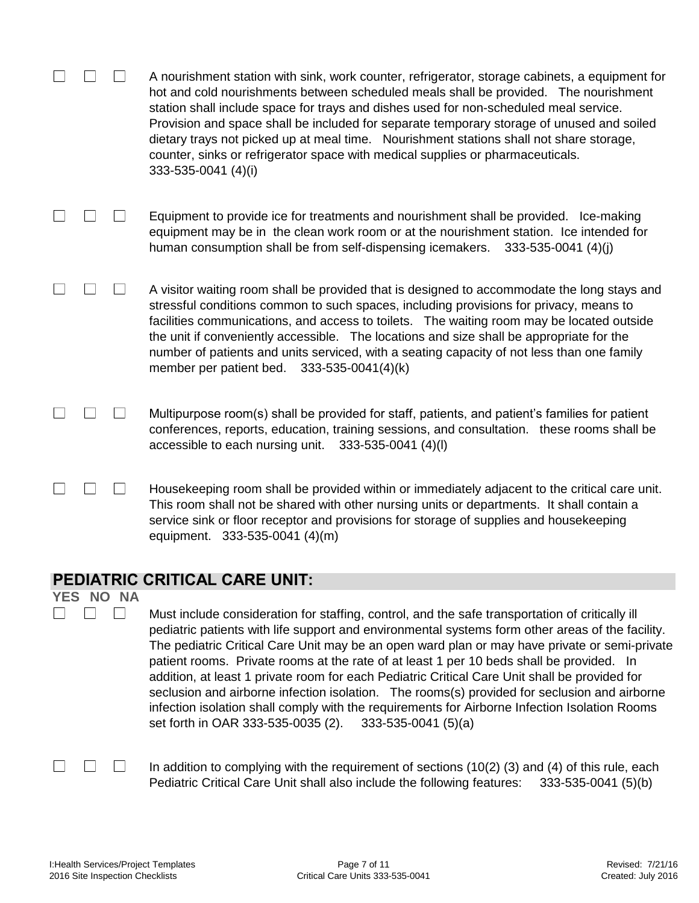|            |       | A nourishment station with sink, work counter, refrigerator, storage cabinets, a equipment for<br>hot and cold nourishments between scheduled meals shall be provided. The nourishment<br>station shall include space for trays and dishes used for non-scheduled meal service.<br>Provision and space shall be included for separate temporary storage of unused and soiled<br>dietary trays not picked up at meal time. Nourishment stations shall not share storage,<br>counter, sinks or refrigerator space with medical supplies or pharmaceuticals.<br>333-535-0041 (4)(i) |
|------------|-------|----------------------------------------------------------------------------------------------------------------------------------------------------------------------------------------------------------------------------------------------------------------------------------------------------------------------------------------------------------------------------------------------------------------------------------------------------------------------------------------------------------------------------------------------------------------------------------|
|            |       | Equipment to provide ice for treatments and nourishment shall be provided. Ice-making<br>equipment may be in the clean work room or at the nourishment station. Ice intended for<br>human consumption shall be from self-dispensing icemakers. 333-535-0041 (4)(j)                                                                                                                                                                                                                                                                                                               |
|            |       | A visitor waiting room shall be provided that is designed to accommodate the long stays and<br>stressful conditions common to such spaces, including provisions for privacy, means to<br>facilities communications, and access to toilets. The waiting room may be located outside<br>the unit if conveniently accessible. The locations and size shall be appropriate for the<br>number of patients and units serviced, with a seating capacity of not less than one family<br>member per patient bed. 333-535-0041(4)(k)                                                       |
|            |       | Multipurpose room(s) shall be provided for staff, patients, and patient's families for patient<br>conferences, reports, education, training sessions, and consultation. these rooms shall be<br>accessible to each nursing unit. 333-535-0041 (4)(I)                                                                                                                                                                                                                                                                                                                             |
|            |       | Housekeeping room shall be provided within or immediately adjacent to the critical care unit.<br>This room shall not be shared with other nursing units or departments. It shall contain a<br>service sink or floor receptor and provisions for storage of supplies and housekeeping<br>equipment. 333-535-0041 (4)(m)                                                                                                                                                                                                                                                           |
|            |       | <b>PEDIATRIC CRITICAL CARE UNIT:</b>                                                                                                                                                                                                                                                                                                                                                                                                                                                                                                                                             |
| <b>YES</b> | NO NA | Must include consideration for staffing, control, and the safe transportation of critically ill<br>pediatric patients with life support and environmental systems form other areas of the facility.<br>The pediatric Critical Care Unit may be an open ward plan or may have private or semi-private                                                                                                                                                                                                                                                                             |

The pediatric Critical Care Unit may be an open ward plan or may have private or semi-private patient rooms. Private rooms at the rate of at least 1 per 10 beds shall be provided. In addition, at least 1 private room for each Pediatric Critical Care Unit shall be provided for seclusion and airborne infection isolation. The rooms(s) provided for seclusion and airborne infection isolation shall comply with the requirements for Airborne Infection Isolation Rooms set forth in OAR 333-535-0035 (2). 333-535-0041 (5)(a)

In addition to complying with the requirement of sections (10(2) (3) and (4) of this rule, each Pediatric Critical Care Unit shall also include the following features: 333-535-0041 (5)(b)

 $\Box$ 

 $\Box$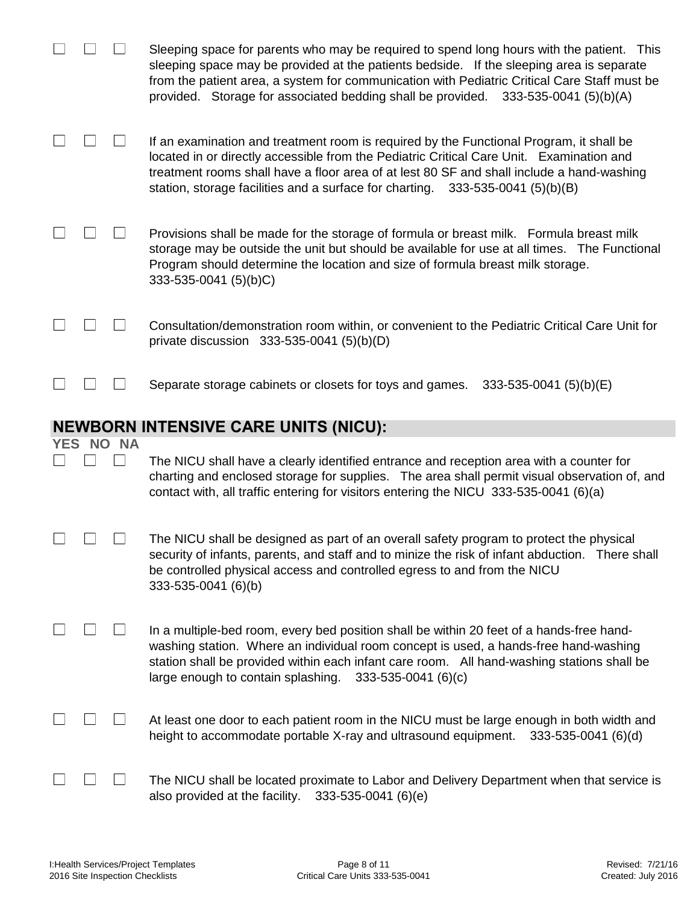|            |  |       | Sleeping space for parents who may be required to spend long hours with the patient. This<br>sleeping space may be provided at the patients bedside. If the sleeping area is separate<br>from the patient area, a system for communication with Pediatric Critical Care Staff must be<br>provided. Storage for associated bedding shall be provided. 333-535-0041 (5)(b)(A) |  |  |  |
|------------|--|-------|-----------------------------------------------------------------------------------------------------------------------------------------------------------------------------------------------------------------------------------------------------------------------------------------------------------------------------------------------------------------------------|--|--|--|
|            |  |       | If an examination and treatment room is required by the Functional Program, it shall be<br>located in or directly accessible from the Pediatric Critical Care Unit. Examination and<br>treatment rooms shall have a floor area of at lest 80 SF and shall include a hand-washing<br>station, storage facilities and a surface for charting. 333-535-0041 (5)(b)(B)          |  |  |  |
|            |  |       | Provisions shall be made for the storage of formula or breast milk. Formula breast milk<br>storage may be outside the unit but should be available for use at all times. The Functional<br>Program should determine the location and size of formula breast milk storage.<br>333-535-0041 (5)(b)C)                                                                          |  |  |  |
|            |  |       | Consultation/demonstration room within, or convenient to the Pediatric Critical Care Unit for<br>private discussion $333-535-0041$ (5)(b)(D)                                                                                                                                                                                                                                |  |  |  |
|            |  |       | Separate storage cabinets or closets for toys and games.<br>333-535-0041 (5)(b)(E)                                                                                                                                                                                                                                                                                          |  |  |  |
|            |  |       |                                                                                                                                                                                                                                                                                                                                                                             |  |  |  |
|            |  |       | <b>NEWBORN INTENSIVE CARE UNITS (NICU):</b>                                                                                                                                                                                                                                                                                                                                 |  |  |  |
| <b>YES</b> |  | NO NA |                                                                                                                                                                                                                                                                                                                                                                             |  |  |  |
|            |  |       | The NICU shall have a clearly identified entrance and reception area with a counter for<br>charting and enclosed storage for supplies. The area shall permit visual observation of, and<br>contact with, all traffic entering for visitors entering the NICU 333-535-0041 (6)(a)                                                                                            |  |  |  |
|            |  |       | The NICU shall be designed as part of an overall safety program to protect the physical<br>security of infants, parents, and staff and to minize the risk of infant abduction. There shall<br>be controlled physical access and controlled egress to and from the NICU<br>333-535-0041 (6)(b)                                                                               |  |  |  |
|            |  |       | In a multiple-bed room, every bed position shall be within 20 feet of a hands-free hand-<br>washing station. Where an individual room concept is used, a hands-free hand-washing<br>station shall be provided within each infant care room. All hand-washing stations shall be<br>large enough to contain splashing.<br>$333 - 535 - 0041$ (6)(c)                           |  |  |  |
|            |  |       | At least one door to each patient room in the NICU must be large enough in both width and<br>height to accommodate portable X-ray and ultrasound equipment.<br>333-535-0041 (6)(d)                                                                                                                                                                                          |  |  |  |

I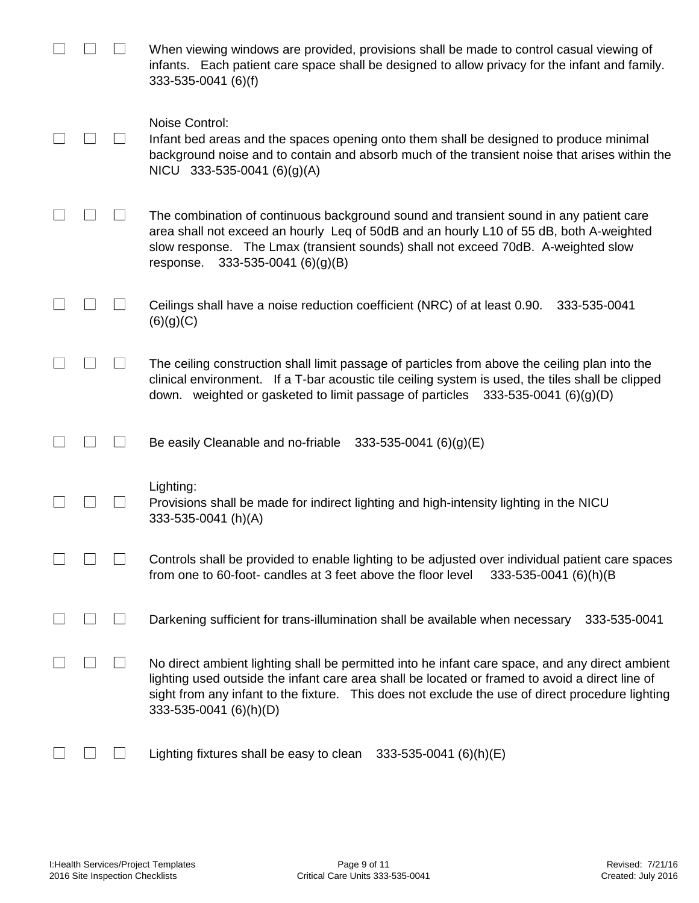|  | When viewing windows are provided, provisions shall be made to control casual viewing of<br>infants. Each patient care space shall be designed to allow privacy for the infant and family.<br>333-535-0041 (6)(f)                                                                                                                |
|--|----------------------------------------------------------------------------------------------------------------------------------------------------------------------------------------------------------------------------------------------------------------------------------------------------------------------------------|
|  | Noise Control:<br>Infant bed areas and the spaces opening onto them shall be designed to produce minimal<br>background noise and to contain and absorb much of the transient noise that arises within the<br>NICU 333-535-0041 (6)(g)(A)                                                                                         |
|  | The combination of continuous background sound and transient sound in any patient care<br>area shall not exceed an hourly Leq of 50dB and an hourly L10 of 55 dB, both A-weighted<br>slow response. The Lmax (transient sounds) shall not exceed 70dB. A-weighted slow<br>$333 - 535 - 0041$ (6)(g)(B)<br>response.              |
|  | Ceilings shall have a noise reduction coefficient (NRC) of at least 0.90.<br>333-535-0041<br>(6)(g)(C)                                                                                                                                                                                                                           |
|  | The ceiling construction shall limit passage of particles from above the ceiling plan into the<br>clinical environment. If a T-bar acoustic tile ceiling system is used, the tiles shall be clipped<br>down. weighted or gasketed to limit passage of particles $333-535-0041$ (6)(g)(D)                                         |
|  | Be easily Cleanable and no-friable $333-535-0041$ (6)(g)(E)                                                                                                                                                                                                                                                                      |
|  | Lighting:<br>Provisions shall be made for indirect lighting and high-intensity lighting in the NICU<br>333-535-0041 (h)(A)                                                                                                                                                                                                       |
|  | Controls shall be provided to enable lighting to be adjusted over individual patient care spaces<br>from one to 60-foot- candles at 3 feet above the floor level<br>333-535-0041 (6)(h)(B                                                                                                                                        |
|  | Darkening sufficient for trans-illumination shall be available when necessary<br>333-535-0041                                                                                                                                                                                                                                    |
|  | No direct ambient lighting shall be permitted into he infant care space, and any direct ambient<br>lighting used outside the infant care area shall be located or framed to avoid a direct line of<br>sight from any infant to the fixture. This does not exclude the use of direct procedure lighting<br>333-535-0041 (6)(h)(D) |
|  | Lighting fixtures shall be easy to clean<br>333-535-0041 (6)(h)(E)                                                                                                                                                                                                                                                               |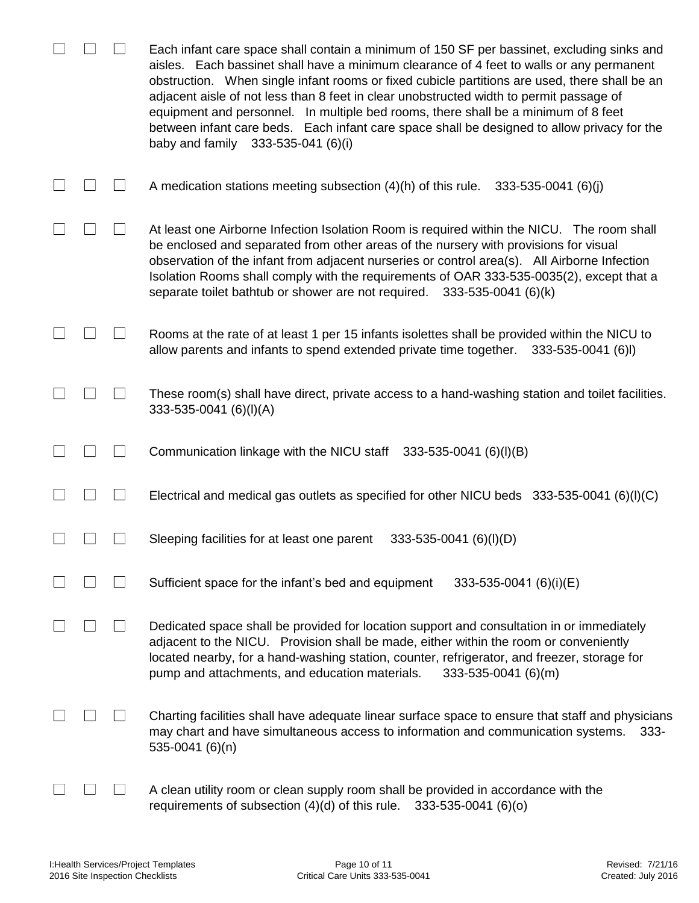|  | Each infant care space shall contain a minimum of 150 SF per bassinet, excluding sinks and<br>aisles. Each bassinet shall have a minimum clearance of 4 feet to walls or any permanent<br>obstruction. When single infant rooms or fixed cubicle partitions are used, there shall be an<br>adjacent aisle of not less than 8 feet in clear unobstructed width to permit passage of<br>equipment and personnel. In multiple bed rooms, there shall be a minimum of 8 feet<br>between infant care beds. Each infant care space shall be designed to allow privacy for the<br>baby and family 333-535-041 (6)(i) |
|--|---------------------------------------------------------------------------------------------------------------------------------------------------------------------------------------------------------------------------------------------------------------------------------------------------------------------------------------------------------------------------------------------------------------------------------------------------------------------------------------------------------------------------------------------------------------------------------------------------------------|
|  | A medication stations meeting subsection $(4)(h)$ of this rule.<br>$333 - 535 - 0041$ (6)(j)                                                                                                                                                                                                                                                                                                                                                                                                                                                                                                                  |
|  | At least one Airborne Infection Isolation Room is required within the NICU. The room shall<br>be enclosed and separated from other areas of the nursery with provisions for visual<br>observation of the infant from adjacent nurseries or control area(s). All Airborne Infection<br>Isolation Rooms shall comply with the requirements of OAR 333-535-0035(2), except that a<br>separate toilet bathtub or shower are not required.<br>333-535-0041 (6)(k)                                                                                                                                                  |
|  | Rooms at the rate of at least 1 per 15 infants isolettes shall be provided within the NICU to<br>allow parents and infants to spend extended private time together.<br>333-535-0041 (6)I)                                                                                                                                                                                                                                                                                                                                                                                                                     |
|  | These room(s) shall have direct, private access to a hand-washing station and toilet facilities.<br>333-535-0041 (6)(I)(A)                                                                                                                                                                                                                                                                                                                                                                                                                                                                                    |
|  | Communication linkage with the NICU staff 333-535-0041 (6)(I)(B)                                                                                                                                                                                                                                                                                                                                                                                                                                                                                                                                              |
|  | Electrical and medical gas outlets as specified for other NICU beds $333-535-0041$ (6)(I)(C)                                                                                                                                                                                                                                                                                                                                                                                                                                                                                                                  |
|  | Sleeping facilities for at least one parent<br>333-535-0041 (6)(l)(D)                                                                                                                                                                                                                                                                                                                                                                                                                                                                                                                                         |
|  | Sufficient space for the infant's bed and equipment<br>333-535-0041 (6)(i)(E)                                                                                                                                                                                                                                                                                                                                                                                                                                                                                                                                 |
|  | Dedicated space shall be provided for location support and consultation in or immediately<br>adjacent to the NICU. Provision shall be made, either within the room or conveniently<br>located nearby, for a hand-washing station, counter, refrigerator, and freezer, storage for<br>pump and attachments, and education materials.<br>333-535-0041 (6)(m)                                                                                                                                                                                                                                                    |
|  | Charting facilities shall have adequate linear surface space to ensure that staff and physicians<br>may chart and have simultaneous access to information and communication systems.<br>$333 -$<br>535-0041 (6)(n)                                                                                                                                                                                                                                                                                                                                                                                            |
|  | A clean utility room or clean supply room shall be provided in accordance with the<br>requirements of subsection (4)(d) of this rule.<br>$333 - 535 - 0041$ (6)(o)                                                                                                                                                                                                                                                                                                                                                                                                                                            |